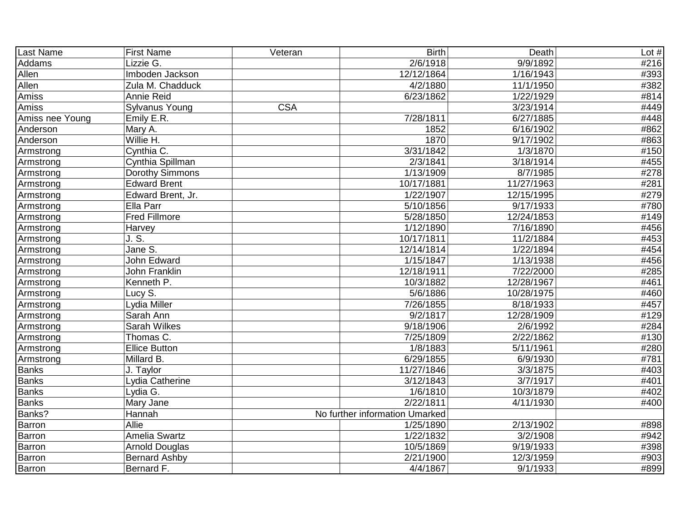| Last Name       | <b>First Name</b>     | Veteran    | <b>Birth</b>                   | Death                  | Lot $#$ |
|-----------------|-----------------------|------------|--------------------------------|------------------------|---------|
| Addams          | Lizzie G.             |            | 2/6/1918                       | 9/9/1892               | #216    |
| Allen           | Imboden Jackson       |            | 12/12/1864                     | 1/16/1943              | #393    |
| Allen           | Zula M. Chadduck      |            | 4/2/1880                       | 11/1/1950              | #382    |
| Amiss           | Annie Reid            |            | 6/23/1862                      | 1/22/1929              | #814    |
| Amiss           | Sylvanus Young        | <b>CSA</b> |                                | 3/23/1914              | #449    |
| Amiss nee Young | Emily E.R.            |            | 7/28/1811                      | 6/27/1885              | #448    |
| Anderson        | Mary A.               |            | 1852                           | 6/16/1902              | #862    |
| Anderson        | Willie H.             |            | 1870                           | $\frac{1}{9}$ /17/1902 | #863    |
| Armstrong       | Cynthia C.            |            | 3/31/1842                      | 1/3/1870               | #150    |
| Armstrong       | Cynthia Spillman      |            | 2/3/1841                       | 3/18/1914              | #455    |
| Armstrong       | Dorothy Simmons       |            | 1/13/1909                      | 8/7/1985               | #278    |
| Armstrong       | <b>Edward Brent</b>   |            | 10/17/1881                     | 11/27/1963             | #281    |
| Armstrong       | Edward Brent, Jr.     |            | 1/22/1907                      | 12/15/1995             | #279    |
| Armstrong       | Ella Parr             |            | 5/10/1856                      | 9/17/1933              | #780    |
| Armstrong       | <b>Fred Fillmore</b>  |            | 5/28/1850                      | 12/24/1853             | #149    |
| Armstrong       | Harvey                |            | 1/12/1890                      | 7/16/1890              | #456    |
| Armstrong       | J. S.                 |            | 10/17/1811                     | 11/2/1884              | #453    |
| Armstrong       | Jane S.               |            | 12/14/1814                     | 1/22/1894              | #454    |
| Armstrong       | John Edward           |            | 1/15/1847                      | 1/13/1938              | #456    |
| Armstrong       | <b>John Franklin</b>  |            | 12/18/1911                     | 7/22/2000              | #285    |
| Armstrong       | Kenneth P.            |            | 10/3/1882                      | 12/28/1967             | #461    |
| Armstrong       | Lucy S.               |            | $\frac{1}{5/6}$ /1886          | 10/28/1975             | #460    |
| Armstrong       | Lydia Miller          |            | 7/26/1855                      | 8/18/1933              | #457    |
| Armstrong       | Sarah Ann             |            | 9/2/1817                       | 12/28/1909             | #129    |
| Armstrong       | Sarah Wilkes          |            | 9/18/1906                      | 2/6/1992               | #284    |
| Armstrong       | Thomas C.             |            | 7/25/1809                      | 2/22/1862              | #130    |
| Armstrong       | <b>Ellice Button</b>  |            | 1/8/1883                       | 5/11/1961              | #280    |
| Armstrong       | Millard B.            |            | 6/29/1855                      | 6/9/1930               | #781    |
| <b>Banks</b>    | J. Taylor             |            | 11/27/1846                     | 3/3/1875               | #403    |
| <b>Banks</b>    | Lydia Catherine       |            | 3/12/1843                      | 3/7/1917               | #401    |
| <b>Banks</b>    | Lydia G.              |            | 1/6/1810                       | 10/3/1879              | #402    |
| <b>Banks</b>    | Mary Jane             |            | 2/22/1811                      | 4/11/1930              | #400    |
| Banks?          | Hannah                |            | No further information Umarked |                        |         |
| Barron          | Allie                 |            | 1/25/1890                      | 2/13/1902              | #898    |
| Barron          | Amelia Swartz         |            | 1/22/1832                      | 3/2/1908               | #942    |
| Barron          | <b>Arnold Douglas</b> |            | 10/5/1869                      | $\overline{9}/19/1933$ | #398    |
| Barron          | <b>Bernard Ashby</b>  |            | 2/21/1900                      | 12/3/1959              | #903    |
| <b>Barron</b>   | Bernard F.            |            | 4/4/1867                       | 9/1/1933               | #899    |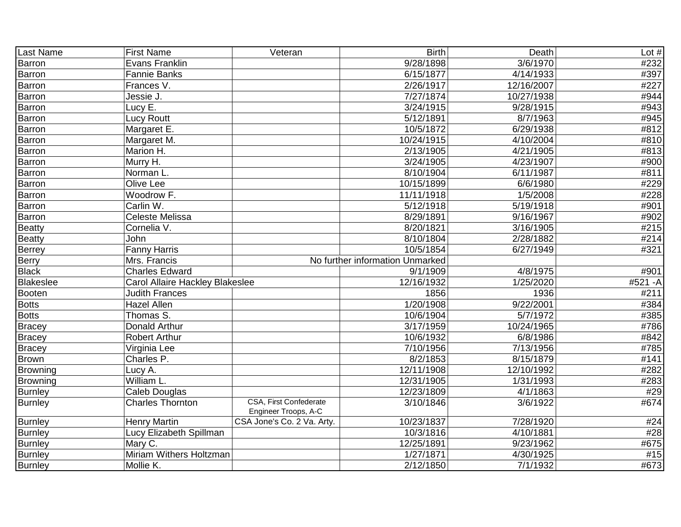| Last Name        | <b>First Name</b>               | Veteran                                               | <b>Birth</b>                    | Death      | Lot $#$ |
|------------------|---------------------------------|-------------------------------------------------------|---------------------------------|------------|---------|
| <b>Barron</b>    | <b>Evans Franklin</b>           |                                                       | 9/28/1898                       | 3/6/1970   | #232    |
| <b>Barron</b>    | <b>Fannie Banks</b>             |                                                       | 6/15/1877                       | 4/14/1933  | #397    |
| <b>Barron</b>    | Frances V.                      |                                                       | 2/26/1917                       | 12/16/2007 | #227    |
| Barron           | Jessie J.                       |                                                       | 7/27/1874                       | 10/27/1938 | #944    |
| <b>Barron</b>    | Lucy E.                         |                                                       | 3/24/1915                       | 9/28/1915  | #943    |
| Barron           | <b>Lucy Routt</b>               |                                                       | 5/12/1891                       | 8/7/1963   | #945    |
| Barron           | Margaret E.                     |                                                       | 10/5/1872                       | 6/29/1938  | #812    |
| Barron           | Margaret M.                     |                                                       | 10/24/1915                      | 4/10/2004  | #810    |
| <b>Barron</b>    | Marion H.                       |                                                       | $\overline{2}/13/1905$          | 4/21/1905  | #813    |
| Barron           | Murry H.                        |                                                       | 3/24/1905                       | 4/23/1907  | #900    |
| <b>Barron</b>    | Norman L.                       |                                                       | 8/10/1904                       | 6/11/1987  | #811    |
| <b>Barron</b>    | Olive Lee                       |                                                       | 10/15/1899                      | 6/6/1980   | #229    |
| <b>Barron</b>    | Woodrow F.                      |                                                       | 11/11/1918                      | 1/5/2008   | #228    |
| <b>Barron</b>    | Carlin W.                       |                                                       | 5/12/1918                       | 5/19/1918  | #901    |
| Barron           | <b>Celeste Melissa</b>          |                                                       | 8/29/1891                       | 9/16/1967  | #902    |
| <b>Beatty</b>    | Cornelia V.                     |                                                       | 8/20/1821                       | 3/16/1905  | #215    |
| <b>Beatty</b>    | John                            |                                                       | 8/10/1804                       | 2/28/1882  | #214    |
| <b>Berrey</b>    | <b>Fanny Harris</b>             |                                                       | 10/5/1854                       | 6/27/1949  | #321    |
| <b>Berry</b>     | Mrs. Francis                    |                                                       | No further information Unmarked |            |         |
| <b>Black</b>     | <b>Charles Edward</b>           |                                                       | 9/1/1909                        | 4/8/1975   | #901    |
| <b>Blakeslee</b> | Carol Allaire Hackley Blakeslee |                                                       | 12/16/1932                      | 1/25/2020  | #521 -A |
| <b>Booten</b>    | <b>Judith Frances</b>           |                                                       | 1856                            | 1936       | #211    |
| <b>Botts</b>     | <b>Hazel Allen</b>              |                                                       | 1/20/1908                       | 9/22/2001  | #384    |
| <b>Botts</b>     | Thomas S.                       |                                                       | 10/6/1904                       | 5/7/1972   | #385    |
| <b>Bracey</b>    | Donald Arthur                   |                                                       | 3/17/1959                       | 10/24/1965 | #786    |
| <b>Bracey</b>    | Robert Arthur                   |                                                       | 10/6/1932                       | 6/8/1986   | #842    |
| <b>Bracey</b>    | Virginia Lee                    |                                                       | 7/10/1956                       | 7/13/1956  | #785    |
| <b>Brown</b>     | Charles P.                      |                                                       | 8/2/1853                        | 8/15/1879  | #141    |
| <b>Browning</b>  | Lucy A.                         |                                                       | 12/11/1908                      | 12/10/1992 | #282    |
| <b>Browning</b>  | William L.                      |                                                       | 12/31/1905                      | 1/31/1993  | #283    |
| <b>Burnley</b>   | Caleb Douglas                   |                                                       | 12/23/1809                      | 4/1/1863   | #29     |
| <b>Burnley</b>   | <b>Charles Thornton</b>         | <b>CSA, First Confederate</b><br>Engineer Troops, A-C | 3/10/1846                       | 3/6/1922   | #674    |
| <b>Burnley</b>   | <b>Henry Martin</b>             | CSA Jone's Co. 2 Va. Arty.                            | 10/23/1837                      | 7/28/1920  | #24     |
| <b>Burnley</b>   | Lucy Elizabeth Spillman         |                                                       | 10/3/1816                       | 4/10/1881  | #28     |
| <b>Burnley</b>   | Mary C.                         |                                                       | 12/25/1891                      | 9/23/1962  | #675    |
| <b>Burnley</b>   | Miriam Withers Holtzman         |                                                       | 1/27/1871                       | 4/30/1925  | #15     |
| <b>Burnley</b>   | Mollie K.                       |                                                       | 2/12/1850                       | 7/1/1932   | #673    |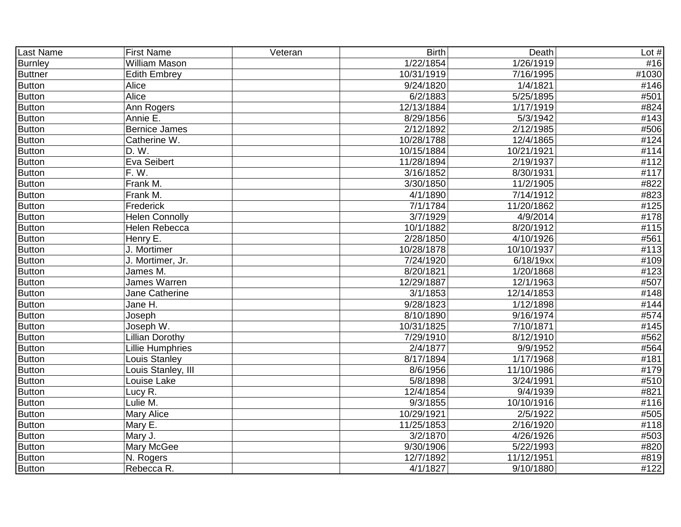| Last Name      | <b>First Name</b>      | Veteran | <b>Birth</b>       | Death                  | Lot $#$ |
|----------------|------------------------|---------|--------------------|------------------------|---------|
| <b>Burnley</b> | William Mason          |         | 1/22/1854          | 1/26/1919              | #16     |
| <b>Buttner</b> | <b>Edith Embrey</b>    |         | 10/31/1919         | 7/16/1995              | #1030   |
| <b>Button</b>  | Alice                  |         | 9/24/1820          | 1/4/1821               | #146    |
| <b>Button</b>  | Alice                  |         | 6/2/1883           | 5/25/1895              | #501    |
| <b>Button</b>  | Ann Rogers             |         | 12/13/1884         | 1/17/1919              | #824    |
| <b>Button</b>  | Annie E.               |         | $\sqrt{8}/29/1856$ | 5/3/1942               | #143    |
| <b>Button</b>  | Bernice James          |         | 2/12/1892          | 2/12/1985              | #506    |
| <b>Button</b>  | Catherine W.           |         | 10/28/1788         | 12/4/1865              | #124    |
| <b>Button</b>  | D. W.                  |         | 10/15/1884         | 10/21/1921             | #114    |
| <b>Button</b>  | Eva Seibert            |         | 11/28/1894         | 2/19/1937              | #112    |
| <b>Button</b>  | F.W.                   |         | 3/16/1852          | 8/30/1931              | #117    |
| <b>Button</b>  | Frank M.               |         | 3/30/1850          | 11/2/1905              | #822    |
| <b>Button</b>  | Frank M.               |         | 4/1/1890           | 7/14/1912              | #823    |
| <b>Button</b>  | Frederick              |         | 7/1/1784           | 11/20/1862             | #125    |
| <b>Button</b>  | <b>Helen Connolly</b>  |         | 3/7/1929           | 4/9/2014               | #178    |
| <b>Button</b>  | Helen Rebecca          |         | 10/1/1882          | 8/20/1912              | #115    |
| <b>Button</b>  | Henry E.               |         | 2/28/1850          | 4/10/1926              | #561    |
| <b>Button</b>  | J. Mortimer            |         | 10/28/1878         | 10/10/1937             | #113    |
| <b>Button</b>  | J. Mortimer, Jr.       |         | 7/24/1920          | 6/18/19xx              | #109    |
| <b>Button</b>  | James M.               |         | 8/20/1821          | 1/20/1868              | #123    |
| <b>Button</b>  | James Warren           |         | 12/29/1887         | 12/1/1963              | #507    |
| <b>Button</b>  | Jane Catherine         |         | 3/1/1853           | 12/14/1853             | #148    |
| <b>Button</b>  | Jane H.                |         | 9/28/1823          | 1/12/1898              | #144    |
| <b>Button</b>  | Joseph                 |         | 8/10/1890          | 9/16/1974              | #574    |
| <b>Button</b>  | Joseph W.              |         | 10/31/1825         | 7/10/1871              | #145    |
| <b>Button</b>  | <b>Lillian Dorothy</b> |         | 7/29/1910          | 8/12/1910              | #562    |
| <b>Button</b>  | Lillie Humphries       |         | 2/4/1877           | 9/9/1952               | #564    |
| <b>Button</b>  | Louis Stanley          |         | 8/17/1894          | 1/17/1968              | #181    |
| <b>Button</b>  | Louis Stanley, III     |         | 8/6/1956           | 11/10/1986             | #179    |
| Button         | Louise Lake            |         | 5/8/1898           | 3/24/1991              | #510    |
| Button         | Lucy R.                |         | 12/4/1854          | 9/4/1939               | #821    |
| <b>Button</b>  | Lulie M.               |         | 9/3/1855           | 10/10/1916             | #116    |
| <b>Button</b>  | <b>Mary Alice</b>      |         | 10/29/1921         | 2/5/1922               | #505    |
| <b>Button</b>  | Mary E.                |         | 11/25/1853         | 2/16/1920              | #118    |
| <b>Button</b>  | Mary J.                |         | 3/2/1870           | 4/26/1926              | #503    |
| <b>Button</b>  | Mary McGee             |         | 9/30/1906          | $\overline{5}/22/1993$ | #820    |
| <b>Button</b>  | N. Rogers              |         | 12/7/1892          | 11/12/1951             | #819    |
| <b>Button</b>  | Rebecca R.             |         | 4/1/1827           | 9/10/1880              | #122    |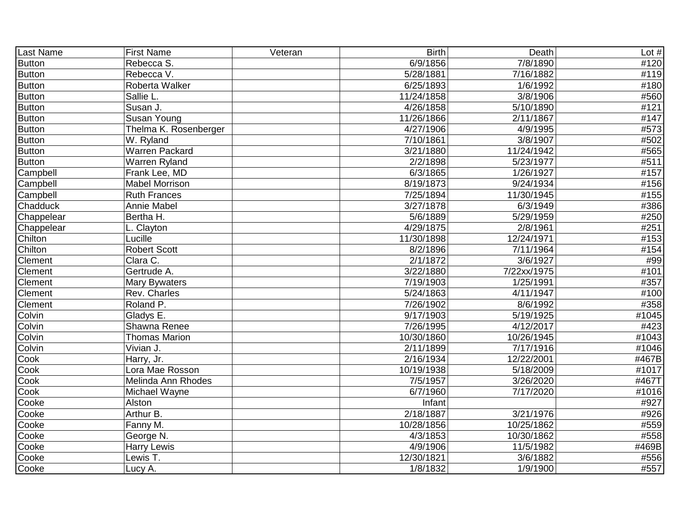| Last Name     | <b>First Name</b>     | Veteran | <b>Birth</b>      | Death                 | Lot $#$ |
|---------------|-----------------------|---------|-------------------|-----------------------|---------|
| <b>Button</b> | Rebecca S.            |         | 6/9/1856          | 7/8/1890              | #120    |
| <b>Button</b> | Rebecca V.            |         | 5/28/1881         | 7/16/1882             | #119    |
| <b>Button</b> | Roberta Walker        |         | 6/25/1893         | 1/6/1992              | #180    |
| <b>Button</b> | Sallie L.             |         | 11/24/1858        | $\overline{3/8}/1906$ | #560    |
| <b>Button</b> | Susan J.              |         | 4/26/1858         | 5/10/1890             | #121    |
| <b>Button</b> | <b>Susan Young</b>    |         | 11/26/1866        | 2/11/1867             | #147    |
| <b>Button</b> | Thelma K. Rosenberger |         | 4/27/1906         | 4/9/1995              | #573    |
| <b>Button</b> | W. Ryland             |         | 7/10/1861         | 3/8/1907              | #502    |
| <b>Button</b> | <b>Warren Packard</b> |         | 3/21/1880         | 11/24/1942            | #565    |
| <b>Button</b> | <b>Warren Ryland</b>  |         | 2/2/1898          | 5/23/1977             | #511    |
| Campbell      | Frank Lee, MD         |         | $\sqrt{6}/3/1865$ | 1/26/1927             | #157    |
| Campbell      | <b>Mabel Morrison</b> |         | 8/19/1873         | 9/24/1934             | #156    |
| Campbell      | <b>Ruth Frances</b>   |         | 7/25/1894         | 11/30/1945            | #155    |
| Chadduck      | <b>Annie Mabel</b>    |         | 3/27/1878         | 6/3/1949              | #386    |
| Chappelear    | Bertha H.             |         | 5/6/1889          | 5/29/1959             | #250    |
| Chappelear    | L. Clayton            |         | 4/29/1875         | 2/8/1961              | #251    |
| Chilton       | Lucille               |         | 11/30/1898        | 12/24/1971            | #153    |
| Chilton       | <b>Robert Scott</b>   |         | 8/2/1896          | 7/11/1964             | #154    |
| Clement       | Clara C.              |         | 2/1/1872          | 3/6/1927              | #99     |
| Clement       | Gertrude A.           |         | 3/22/1880         | 7/22xx/1975           | #101    |
| Clement       | Mary Bywaters         |         | 7/19/1903         | 1/25/1991             | #357    |
| Clement       | Rev. Charles          |         | 5/24/1863         | 4/11/1947             | #100    |
| Clement       | Roland P.             |         | 7/26/1902         | 8/6/1992              | #358    |
| Colvin        | Gladys E.             |         | 9/17/1903         | 5/19/1925             | #1045   |
| Colvin        | Shawna Renee          |         | 7/26/1995         | 4/12/2017             | #423    |
| Colvin        | <b>Thomas Marion</b>  |         | 10/30/1860        | 10/26/1945            | #1043   |
| Colvin        | Vivian J.             |         | 2/11/1899         | 7/17/1916             | #1046   |
| Cook          | Harry, Jr.            |         | 2/16/1934         | 12/22/2001            | #467B   |
| Cook          | Lora Mae Rosson       |         | 10/19/1938        | 5/18/2009             | #1017   |
| Cook          | Melinda Ann Rhodes    |         | 7/5/1957          | 3/26/2020             | #467T   |
| Cook          | Michael Wayne         |         | 6/7/1960          | 7/17/2020             | #1016   |
| Cooke         | Alston                |         | Infant            |                       | #927    |
| Cooke         | Arthur B.             |         | 2/18/1887         | 3/21/1976             | #926    |
| Cooke         | Fanny M.              |         | 10/28/1856        | 10/25/1862            | #559    |
| Cooke         | George N.             |         | 4/3/1853          | 10/30/1862            | #558    |
| Cooke         | <b>Harry Lewis</b>    |         | 4/9/1906          | 11/5/1982             | #469B   |
| Cooke         | Lewis T.              |         | 12/30/1821        | 3/6/1882              | #556    |
| Cooke         | Lucy A.               |         | 1/8/1832          | 1/9/1900              | #557    |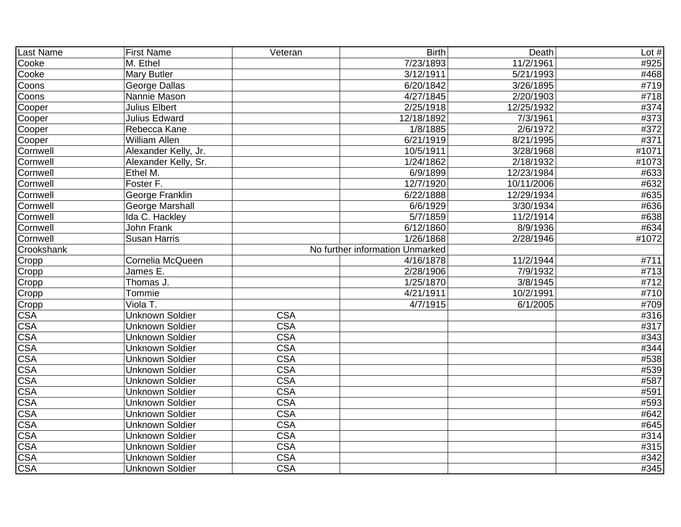| Last Name               | <b>First Name</b>      | Veteran                 | <b>Birth</b>                    | Death      | Lot $#$ |
|-------------------------|------------------------|-------------------------|---------------------------------|------------|---------|
| Cooke                   | M. Ethel               |                         | 7/23/1893                       | 11/2/1961  | #925    |
| Cooke                   | Mary Butler            |                         | 3/12/1911                       | 5/21/1993  | #468    |
| Coons                   | George Dallas          |                         | 6/20/1842                       | 3/26/1895  | #719    |
| Coons                   | Nannie Mason           |                         | 4/27/1845                       | 2/20/1903  | #718    |
| Cooper                  | <b>Julius Elbert</b>   |                         | 2/25/1918                       | 12/25/1932 | #374    |
| Cooper                  | <b>Julius Edward</b>   |                         | 12/18/1892                      | 7/3/1961   | #373    |
| Cooper                  | Rebecca Kane           |                         | 1/8/1885                        | 2/6/1972   | #372    |
| Cooper                  | William Allen          |                         | 6/21/1919                       | 8/21/1995  | #371    |
| Cornwell                | Alexander Kelly, Jr.   |                         | 10/5/1911                       | 3/28/1968  | #1071   |
| Cornwell                | Alexander Kelly, Sr.   |                         | 1/24/1862                       | 2/18/1932  | #1073   |
| Cornwell                | Ethel M.               |                         | $\sqrt{6/9/1899}$               | 12/23/1984 | #633    |
| Cornwell                | Foster F.              |                         | 12/7/1920                       | 10/11/2006 | #632    |
| Cornwell                | George Franklin        |                         | 6/22/1888                       | 12/29/1934 | #635    |
| Cornwell                | George Marshall        |                         | 6/6/1929                        | 3/30/1934  | #636    |
| Cornwell                | Ida C. Hackley         |                         | 5/7/1859                        | 11/2/1914  | #638    |
| Cornwell                | John Frank             |                         | 6/12/1860                       | 8/9/1936   | #634    |
| Cornwell                | <b>Susan Harris</b>    |                         | 1/26/1868                       | 2/28/1946  | #1072   |
| Crookshank              |                        |                         | No further information Unmarked |            |         |
| Cropp                   | Cornelia McQueen       |                         | 4/16/1878                       | 11/2/1944  | #711    |
| Cropp                   | James E.               |                         | 2/28/1906                       | 7/9/1932   | #713    |
| Cropp                   | Thomas J.              |                         | 1/25/1870                       | 3/8/1945   | #712    |
| Cropp                   | Tommie                 |                         | 4/21/1911                       | 10/2/1991  | #710    |
| Cropp                   | Viola T.               |                         | 4/7/1915                        | 6/1/2005   | #709    |
| <b>CSA</b>              | <b>Unknown Soldier</b> | <b>CSA</b>              |                                 |            | #316    |
| <b>CSA</b>              | <b>Unknown Soldier</b> | <b>CSA</b>              |                                 |            | #317    |
| <b>CSA</b>              | <b>Unknown Soldier</b> | $\overline{\text{CSA}}$ |                                 |            | #343    |
| <b>CSA</b>              | <b>Unknown Soldier</b> | $\overline{\text{CSA}}$ |                                 |            | #344    |
| <b>CSA</b>              | <b>Unknown Soldier</b> | $\overline{\text{CSA}}$ |                                 |            | #538    |
| <b>CSA</b>              | <b>Unknown Soldier</b> | <b>CSA</b>              |                                 |            | #539    |
| <b>CSA</b>              | <b>Unknown Soldier</b> | <b>CSA</b>              |                                 |            | #587    |
| <b>CSA</b>              | <b>Unknown Soldier</b> | <b>CSA</b>              |                                 |            | #591    |
| <b>CSA</b>              | <b>Unknown Soldier</b> | <b>CSA</b>              |                                 |            | #593    |
| <b>CSA</b>              | <b>Unknown Soldier</b> | <b>CSA</b>              |                                 |            | #642    |
| <b>CSA</b>              | <b>Unknown Soldier</b> | <b>CSA</b>              |                                 |            | #645    |
| <b>CSA</b>              | <b>Unknown Soldier</b> | <b>CSA</b>              |                                 |            | #314    |
| <b>CSA</b>              | <b>Unknown Soldier</b> | $\overline{\text{CSA}}$ |                                 |            | #315    |
| $\overline{\text{CSA}}$ | <b>Unknown Soldier</b> | $\overline{\text{CSA}}$ |                                 |            | #342    |
| $\overline{\text{CSA}}$ | <b>Unknown Soldier</b> | <b>CSA</b>              |                                 |            | #345    |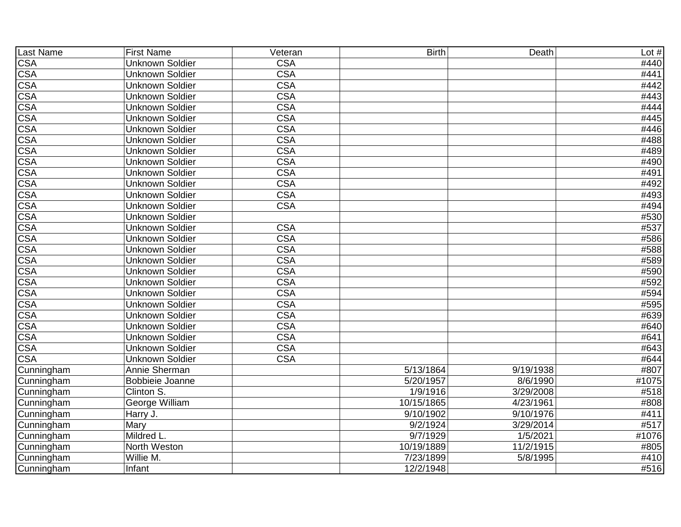| Last Name               | <b>First Name</b>      | Veteran                 | <b>Birth</b> | Death     | Lot $#$ |
|-------------------------|------------------------|-------------------------|--------------|-----------|---------|
| <b>CSA</b>              | <b>Unknown Soldier</b> | <b>CSA</b>              |              |           | #440    |
| <b>CSA</b>              | <b>Unknown Soldier</b> | <b>CSA</b>              |              |           | #441    |
| <b>CSA</b>              | <b>Unknown Soldier</b> | <b>CSA</b>              |              |           | #442    |
| <b>CSA</b>              | <b>Unknown Soldier</b> | <b>CSA</b>              |              |           | #443    |
| <b>CSA</b>              | <b>Unknown Soldier</b> | <b>CSA</b>              |              |           | #444    |
| <b>CSA</b>              | <b>Unknown Soldier</b> | <b>CSA</b>              |              |           | #445    |
| $\overline{\text{CSA}}$ | <b>Unknown Soldier</b> | <b>CSA</b>              |              |           | #446    |
| $\overline{\text{CSA}}$ | <b>Unknown Soldier</b> | <b>CSA</b>              |              |           | #488    |
| <b>CSA</b>              | <b>Unknown Soldier</b> | <b>CSA</b>              |              |           | #489    |
| $\overline{\text{CSA}}$ | <b>Unknown Soldier</b> | <b>CSA</b>              |              |           | #490    |
| <b>CSA</b>              | <b>Unknown Soldier</b> | <b>CSA</b>              |              |           | #491    |
| <b>CSA</b>              | <b>Unknown Soldier</b> | <b>CSA</b>              |              |           | #492    |
| <b>CSA</b>              | <b>Unknown Soldier</b> | <b>CSA</b>              |              |           | #493    |
| $\overline{\text{CSA}}$ | <b>Unknown Soldier</b> | <b>CSA</b>              |              |           | #494    |
| <b>CSA</b>              | <b>Unknown Soldier</b> |                         |              |           | #530    |
| <b>CSA</b>              | <b>Unknown Soldier</b> | <b>CSA</b>              |              |           | #537    |
| <b>CSA</b>              | <b>Unknown Soldier</b> | <b>CSA</b>              |              |           | #586    |
| <b>CSA</b>              | <b>Unknown Soldier</b> | <b>CSA</b>              |              |           | #588    |
| <b>CSA</b>              | <b>Unknown Soldier</b> | <b>CSA</b>              |              |           | #589    |
| <b>CSA</b>              | <b>Unknown Soldier</b> | <b>CSA</b>              |              |           | #590    |
| <b>CSA</b>              | <b>Unknown Soldier</b> | <b>CSA</b>              |              |           | #592    |
| $\overline{\text{CSA}}$ | <b>Unknown Soldier</b> | $\overline{\text{CSA}}$ |              |           | #594    |
| <b>CSA</b>              | <b>Unknown Soldier</b> | $\overline{\text{CSA}}$ |              |           | #595    |
| $\overline{\text{CSA}}$ | <b>Unknown Soldier</b> | $\overline{\text{CSA}}$ |              |           | #639    |
| $\overline{\text{CSA}}$ | <b>Unknown Soldier</b> | $\overline{\text{CSA}}$ |              |           | #640    |
| $\overline{\text{CSA}}$ | <b>Unknown Soldier</b> | $\overline{\text{CSA}}$ |              |           | #641    |
| <b>CSA</b>              | <b>Unknown Soldier</b> | <b>CSA</b>              |              |           | #643    |
| <b>CSA</b>              | <b>Unknown Soldier</b> | <b>CSA</b>              |              |           | #644    |
| Cunningham              | Annie Sherman          |                         | 5/13/1864    | 9/19/1938 | #807    |
| Cunningham              | Bobbieie Joanne        |                         | 5/20/1957    | 8/6/1990  | #1075   |
| Cunningham              | Clinton S.             |                         | 1/9/1916     | 3/29/2008 | #518    |
| Cunningham              | George William         |                         | 10/15/1865   | 4/23/1961 | #808    |
| Cunningham              | Harry J.               |                         | 9/10/1902    | 9/10/1976 | #411    |
| Cunningham              | Mary                   |                         | 9/2/1924     | 3/29/2014 | #517    |
| Cunningham              | Mildred L.             |                         | 9/7/1929     | 1/5/2021  | #1076   |
| Cunningham              | North Weston           |                         | 10/19/1889   | 11/2/1915 | #805    |
| Cunningham              | Willie M.              |                         | 7/23/1899    | 5/8/1995  | #410    |
| Cunningham              | Infant                 |                         | 12/2/1948    |           | #516    |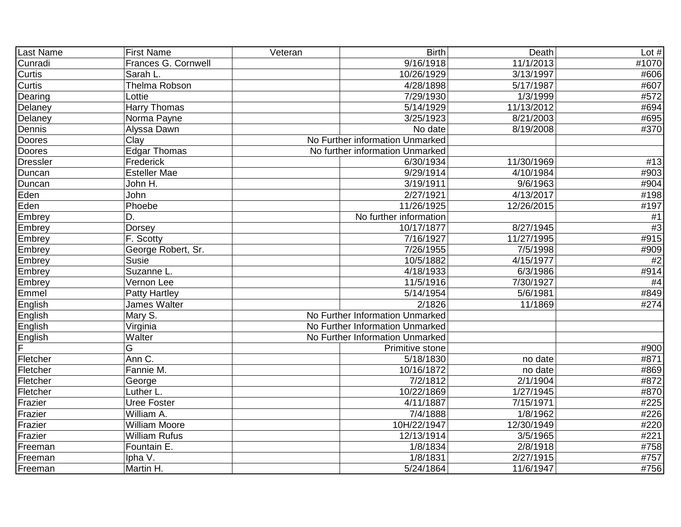| Last Name       | <b>First Name</b>    | Veteran | <b>Birth</b>                    | Death             | Lot $#$           |
|-----------------|----------------------|---------|---------------------------------|-------------------|-------------------|
| Cunradi         | Frances G. Cornwell  |         | 9/16/1918                       | 11/1/2013         | #1070             |
| Curtis          | Sarah L.             |         | 10/26/1929                      | 3/13/1997         | #606              |
| Curtis          | Thelma Robson        |         | 4/28/1898                       | 5/17/1987         | #607              |
| Dearing         | Lottie               |         | 7/29/1930                       | 1/3/1999          | #572              |
| Delaney         | <b>Harry Thomas</b>  |         | 5/14/1929                       | 11/13/2012        | #694              |
| Delaney         | Norma Payne          |         | 3/25/1923                       | 8/21/2003         | #695              |
| Dennis          | Alyssa Dawn          |         | No date                         | 8/19/2008         | #370              |
| Doores          | Clav                 |         | No Further information Unmarked |                   |                   |
| Doores          | Edgar Thomas         |         | No further information Unmarked |                   |                   |
| <b>Dressler</b> | Frederick            |         | 6/30/1934                       | 11/30/1969        | #13               |
| Duncan          | <b>Esteller Mae</b>  |         | 9/29/1914                       | 4/10/1984         | #903              |
| Duncan          | John H.              |         | 3/19/1911                       | 9/6/1963          | #904              |
| Eden            | John                 |         | 2/27/1921                       | 4/13/2017         | #198              |
| Eden            | Phoebe               |         | 11/26/1925                      | 12/26/2015        | #197              |
| Embrey          | D.                   |         | No further information          |                   | #1                |
| Embrey          | Dorsey               |         | 10/17/1877                      | 8/27/1945         | #3                |
| Embrey          | F. Scotty            |         | 7/16/1927                       | 11/27/1995        | #915              |
| Embrey          | George Robert, Sr.   |         | 7/26/1955                       | 7/5/1998          | #909              |
| Embrey          | <b>Susie</b>         |         | 10/5/1882                       | 4/15/1977         | #2                |
| Embrey          | Suzanne L.           |         | 4/18/1933                       | 6/3/1986          | #914              |
| Embrey          | Vernon Lee           |         | 11/5/1916                       | 7/30/1927         | #4                |
| Emmel           | <b>Patty Hartley</b> |         | 5/14/1954                       | 5/6/1981          | #849              |
| English         | James Walter         |         | 2/1826                          | 11/1869           | #274              |
| English         | Mary S.              |         | No Further Information Unmarked |                   |                   |
| English         | Virginia             |         | No Further Information Unmarked |                   |                   |
| English         | Walter               |         | No Further Information Unmarked |                   |                   |
| Ē               | G                    |         | Primitive stone                 |                   | #900              |
| Fletcher        | Ann C.               |         | 5/18/1830                       | no date           | #871              |
| Fletcher        | Fannie M.            |         | 10/16/1872                      | no date           | #869              |
| Fletcher        | George               |         | 7/2/1812                        | 2/1/1904          | #872              |
| Fletcher        | Luther L.            |         | 10/22/1869                      | 1/27/1945         | #870              |
| Frazier         | <b>Uree Foster</b>   |         | 4/11/1887                       | 7/15/1971         | #225              |
| Frazier         | William A.           |         | 7/4/1888                        | 1/8/1962          | #226              |
| Frazier         | <b>William Moore</b> |         | 10H/22/1947                     | 12/30/1949        | #220              |
| Frazier         | <b>William Rufus</b> |         | 12/13/1914                      | 3/5/1965          | #221              |
| Freeman         | Fountain E.          |         | 1/8/1834                        | $\sqrt{2}/8/1918$ | #758              |
| Freeman         | Ipha V.              |         | 1/8/1831                        | 2/27/1915         | $\overline{4757}$ |
| Freeman         | Martin H.            |         | 5/24/1864                       | 11/6/1947         | #756              |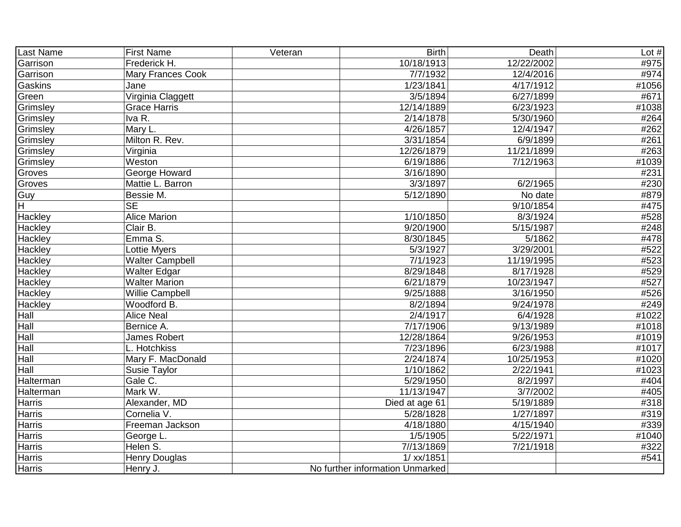| Last Name     | <b>First Name</b>        | Veteran | <b>Birth</b>                    | Death      | Lot $#$           |
|---------------|--------------------------|---------|---------------------------------|------------|-------------------|
| Garrison      | Frederick H.             |         | 10/18/1913                      | 12/22/2002 | #975              |
| Garrison      | <b>Mary Frances Cook</b> |         | 7/7/1932                        | 12/4/2016  | #974              |
| Gaskins       | Jane                     |         | 1/23/1841                       | 4/17/1912  | #1056             |
| Green         | Virginia Claggett        |         | 3/5/1894                        | 6/27/1899  | #671              |
| Grimsley      | <b>Grace Harris</b>      |         | 12/14/1889                      | 6/23/1923  | #1038             |
| Grimsley      | Iva R.                   |         | 2/14/1878                       | 5/30/1960  | #264              |
| Grimsley      | Mary L.                  |         | 4/26/1857                       | 12/4/1947  | #262              |
| Grimsley      | Milton R. Rev.           |         | 3/31/1854                       | 6/9/1899   | #261              |
| Grimsley      | Virginia                 |         | 12/26/1879                      | 11/21/1899 | $\overline{4263}$ |
| Grimsley      | Weston                   |         | 6/19/1886                       | 7/12/1963  | #1039             |
| Groves        | <b>George Howard</b>     |         | 3/16/1890                       |            | #231              |
| Groves        | Mattie L. Barron         |         | 3/3/1897                        | 6/2/1965   | #230              |
| Guy           | Bessie M.                |         | 5/12/1890                       | No date    | #879              |
| H             | <b>SE</b>                |         |                                 | 9/10/1854  | #475              |
| Hackley       | <b>Alice Marion</b>      |         | 1/10/1850                       | 8/3/1924   | #528              |
| Hackley       | Clair B.                 |         | 9/20/1900                       | 5/15/1987  | #248              |
| Hackley       | Emma S.                  |         | 8/30/1845                       | 5/1862     | #478              |
| Hackley       | Lottie Myers             |         | 5/3/1927                        | 3/29/2001  | #522              |
| Hackley       | Walter Campbell          |         | 7/1/1923                        | 11/19/1995 | #523              |
| Hackley       | <b>Walter Edgar</b>      |         | 8/29/1848                       | 8/17/1928  | #529              |
| Hackley       | <b>Walter Marion</b>     |         | 6/21/1879                       | 10/23/1947 | #527              |
| Hackley       | Willie Campbell          |         | 9/25/1888                       | 3/16/1950  | #526              |
| Hackley       | Woodford B.              |         | 8/2/1894                        | 9/24/1978  | #249              |
| Hall          | <b>Alice Neal</b>        |         | 2/4/1917                        | 6/4/1928   | #1022             |
| Hall          | Bernice A.               |         | 7/17/1906                       | 9/13/1989  | #1018             |
| Hall          | <b>James Robert</b>      |         | 12/28/1864                      | 9/26/1953  | #1019             |
| Hall          | L. Hotchkiss             |         | 7/23/1896                       | 6/23/1988  | #1017             |
| Hall          | Mary F. MacDonald        |         | 2/24/1874                       | 10/25/1953 | #1020             |
| Hall          | Susie Taylor             |         | 1/10/1862                       | 2/22/1941  | #1023             |
| Halterman     | Gale C.                  |         | 5/29/1950                       | 8/2/1997   | #404              |
| Halterman     | Mark W.                  |         | 11/13/1947                      | 3/7/2002   | #405              |
| <b>Harris</b> | Alexander, MD            |         | Died at age 61                  | 5/19/1889  | #318              |
| Harris        | Cornelia V.              |         | 5/28/1828                       | 1/27/1897  | #319              |
| Harris        | Freeman Jackson          |         | 4/18/1880                       | 4/15/1940  | #339              |
| <b>Harris</b> | George L.                |         | 1/5/1905                        | 5/22/1971  | #1040             |
| Harris        | Helen S.                 |         | 7//13/1869                      | 7/21/1918  | #322              |
| <b>Harris</b> | <b>Henry Douglas</b>     |         | 1/ xx/1851                      |            | #541              |
| Harris        | Henry J.                 |         | No further information Unmarked |            |                   |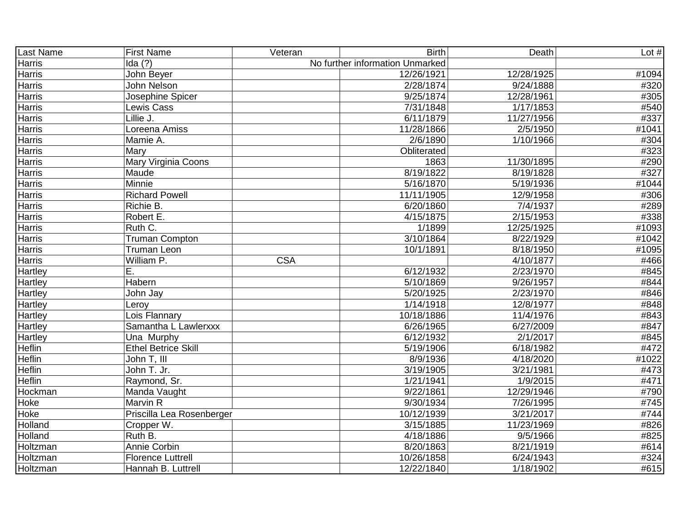| Last Name      | <b>First Name</b>          | Veteran    | <b>Birth</b>                    | Death             | Lot $#$ |
|----------------|----------------------------|------------|---------------------------------|-------------------|---------|
| <b>Harris</b>  | Ida $(?)$                  |            | No further information Unmarked |                   |         |
| <b>Harris</b>  | John Beyer                 |            | 12/26/1921                      | 12/28/1925        | #1094   |
| <b>Harris</b>  | John Nelson                |            | 2/28/1874                       | 9/24/1888         | #320    |
| Harris         | Josephine Spicer           |            | 9/25/1874                       | 12/28/1961        | #305    |
| Harris         | Lewis Cass                 |            | 7/31/1848                       | 1/17/1853         | #540    |
| <b>Harris</b>  | Lillie J.                  |            | 6/11/1879                       | 11/27/1956        | #337    |
| Harris         | Loreena Amiss              |            | 11/28/1866                      | 2/5/1950          | #1041   |
| <b>Harris</b>  | Mamie A.                   |            | 2/6/1890                        | 1/10/1966         | #304    |
| Harris         | Mary                       |            | Obliterated                     |                   | #323    |
| <b>Harris</b>  | Mary Virginia Coons        |            | 1863                            | 11/30/1895        | #290    |
| <b>Harris</b>  | Maude                      |            | 8/19/1822                       | 8/19/1828         | #327    |
| Harris         | Minnie                     |            | 5/16/1870                       | 5/19/1936         | #1044   |
| Harris         | <b>Richard Powell</b>      |            | 11/11/1905                      | 12/9/1958         | #306    |
| <b>Harris</b>  | Richie B.                  |            | 6/20/1860                       | 7/4/1937          | #289    |
| <b>Harris</b>  | Robert E.                  |            | 4/15/1875                       | 2/15/1953         | #338    |
| Harris         | Ruth C.                    |            | 1/1899                          | 12/25/1925        | #1093   |
| <b>Harris</b>  | <b>Truman Compton</b>      |            | 3/10/1864                       | 8/22/1929         | #1042   |
| <b>Harris</b>  | <b>Truman Leon</b>         |            | 10/1/1891                       | 8/18/1950         | #1095   |
| <b>Harris</b>  | William P.                 | <b>CSA</b> |                                 | 4/10/1877         | #466    |
| Hartley        | Ε.                         |            | 6/12/1932                       | 2/23/1970         | #845    |
| <b>Hartley</b> | Habern                     |            | 5/10/1869                       | 9/26/1957         | #844    |
| Hartley        | John Jay                   |            | 5/20/1925                       | 2/23/1970         | #846    |
| Hartley        | Leroy                      |            | 1/14/1918                       | 12/8/1977         | #848    |
| <b>Hartley</b> | Lois Flannary              |            | 10/18/1886                      | 11/4/1976         | #843    |
| Hartley        | Samantha L Lawlerxxx       |            | 6/26/1965                       | 6/27/2009         | #847    |
| <b>Hartley</b> | Una Murphy                 |            | 6/12/1932                       | 2/1/2017          | #845    |
| Heflin         | <b>Ethel Betrice Skill</b> |            | 5/19/1906                       | 6/18/1982         | #472    |
| <b>Heflin</b>  | John T, III                |            | 8/9/1936                        | 4/18/2020         | #1022   |
| <b>Heflin</b>  | John T. Jr.                |            | 3/19/1905                       | 3/21/1981         | #473    |
| Heflin         | Raymond, Sr.               |            | 1/21/1941                       | $\sqrt{1/9/2015}$ | #471    |
| Hockman        | Manda Vaught               |            | 9/22/1861                       | 12/29/1946        | #790    |
| Hoke           | Marvin R                   |            | 9/30/1934                       | 7/26/1995         | #745    |
| Hoke           | Priscilla Lea Rosenberger  |            | 10/12/1939                      | 3/21/2017         | #744    |
| Holland        | Cropper W.                 |            | 3/15/1885                       | 11/23/1969        | #826    |
| Holland        | Ruth B.                    |            | 4/18/1886                       | 9/5/1966          | #825    |
| Holtzman       | Annie Corbin               |            | 8/20/1863                       | 8/21/1919         | #614    |
| Holtzman       | <b>Florence Luttrell</b>   |            | 10/26/1858                      | 6/24/1943         | #324    |
| Holtzman       | Hannah B. Luttrell         |            | 12/22/1840                      | 1/18/1902         | #615    |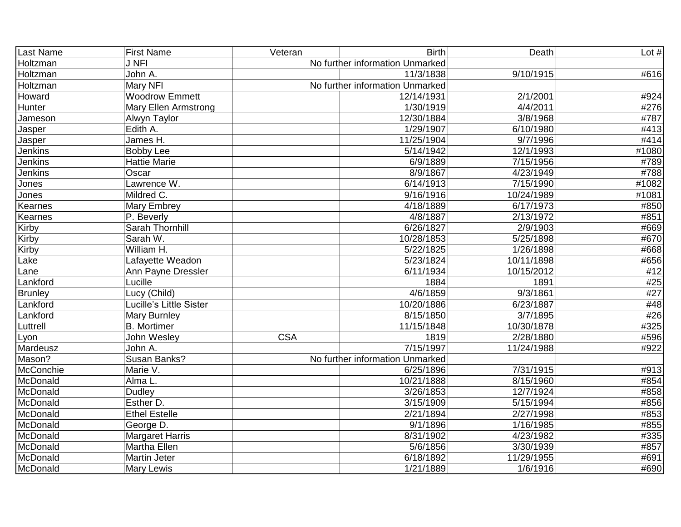| Last Name      | <b>First Name</b>              | Veteran                 | <b>Birth</b>                    | Death      | Lot $#$ |
|----------------|--------------------------------|-------------------------|---------------------------------|------------|---------|
| Holtzman       | <b>J NFI</b>                   |                         | No further information Unmarked |            |         |
| Holtzman       | John A.                        |                         | 11/3/1838                       | 9/10/1915  | #616    |
| Holtzman       | Mary NFI                       |                         | No further information Unmarked |            |         |
| Howard         | <b>Woodrow Emmett</b>          |                         | 12/14/1931                      | 2/1/2001   | #924    |
| Hunter         | <b>Mary Ellen Armstrong</b>    |                         | 1/30/1919                       | 4/4/2011   | #276    |
| Jameson        | Alwyn Taylor                   |                         | 12/30/1884                      | 3/8/1968   | #787    |
| Jasper         | Edith A.                       |                         | 1/29/1907                       | 6/10/1980  | #413    |
| Jasper         | James H.                       |                         | 11/25/1904                      | 9/7/1996   | #414    |
| <b>Jenkins</b> | <b>Bobby Lee</b>               |                         | 5/14/1942                       | 12/1/1993  | #1080   |
| <b>Jenkins</b> | Hattie Marie                   |                         | 6/9/1889                        | 7/15/1956  | #789    |
| Jenkins        | Oscar                          |                         | 8/9/1867                        | 4/23/1949  | #788    |
| Jones          | Lawrence W.                    |                         | 6/14/1913                       | 7/15/1990  | #1082   |
| Jones          | Mildred C.                     |                         | 9/16/1916                       | 10/24/1989 | #1081   |
| Kearnes        | Mary Embrey                    |                         | 4/18/1889                       | 6/17/1973  | #850    |
| Kearnes        | P. Beverly                     |                         | 4/8/1887                        | 2/13/1972  | #851    |
| Kirby          | Sarah Thornhill                |                         | 6/26/1827                       | 2/9/1903   | #669    |
| Kirby          | Sarah W.                       |                         | 10/28/1853                      | 5/25/1898  | #670    |
| Kirby          | William H.                     |                         | 5/22/1825                       | 1/26/1898  | #668    |
| Lake           | Lafayette Weadon               |                         | 5/23/1824                       | 10/11/1898 | #656    |
| Lane           | Ann Payne Dressler             |                         | 6/11/1934                       | 10/15/2012 | #12     |
| Lankford       | Lucille                        |                         | 1884                            | 1891       | #25     |
| <b>Brunley</b> | Lucy (Child)                   |                         | 4/6/1859                        | 9/3/1861   | #27     |
| Lankford       | <b>Lucille's Little Sister</b> |                         | 10/20/1886                      | 6/23/1887  | #48     |
| Lankford       | Mary Burnley                   |                         | 8/15/1850                       | 3/7/1895   | #26     |
| Luttrell       | <b>B.</b> Mortimer             |                         | 11/15/1848                      | 10/30/1878 | #325    |
| Lyon           | John Wesley                    | $\overline{\text{CSA}}$ | 1819                            | 2/28/1880  | #596    |
| Mardeusz       | John A.                        |                         | 7/15/1997                       | 11/24/1988 | #922    |
| Mason?         | Susan Banks?                   |                         | No further information Unmarked |            |         |
| McConchie      | Marie V.                       |                         | 6/25/1896                       | 7/31/1915  | #913    |
| McDonald       | Alma L.                        |                         | 10/21/1888                      | 8/15/1960  | #854    |
| McDonald       | <b>Dudley</b>                  |                         | 3/26/1853                       | 12/7/1924  | #858    |
| McDonald       | Esther D.                      |                         | 3/15/1909                       | 5/15/1994  | #856    |
| McDonald       | <b>Ethel Estelle</b>           |                         | 2/21/1894                       | 2/27/1998  | #853    |
| McDonald       | George D.                      |                         | 9/1/1896                        | 1/16/1985  | #855    |
| McDonald       | <b>Margaret Harris</b>         |                         | 8/31/1902                       | 4/23/1982  | #335    |
| McDonald       | Martha Ellen                   |                         | $\overline{5}/6/1856$           | 3/30/1939  | #857    |
| McDonald       | Martin Jeter                   |                         | 6/18/1892                       | 11/29/1955 | #691    |
| McDonald       | <b>Mary Lewis</b>              |                         | 1/21/1889                       | 1/6/1916   | #690    |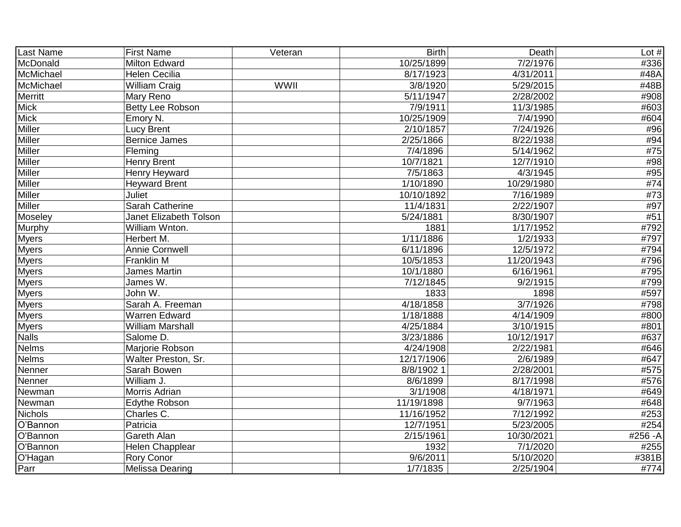| Last Name      | <b>First Name</b>       | Veteran     | <b>Birth</b> | <b>Death</b>           | Lot $#$ |
|----------------|-------------------------|-------------|--------------|------------------------|---------|
| McDonald       | <b>Milton Edward</b>    |             | 10/25/1899   | 7/2/1976               | #336    |
| McMichael      | <b>Helen Cecilia</b>    |             | 8/17/1923    | 4/31/2011              | #48A    |
| McMichael      | <b>William Craig</b>    | <b>WWII</b> | 3/8/1920     | 5/29/2015              | #48B    |
| Merritt        | Mary Reno               |             | 5/11/1947    | 2/28/2002              | #908    |
| <b>Mick</b>    | <b>Betty Lee Robson</b> |             | 7/9/1911     | 11/3/1985              | #603    |
| <b>Mick</b>    | Emory N.                |             | 10/25/1909   | 7/4/1990               | #604    |
| <b>Miller</b>  | <b>Lucy Brent</b>       |             | 2/10/1857    | 7/24/1926              | #96     |
| <b>Miller</b>  | <b>Bernice James</b>    |             | 2/25/1866    | 8/22/1938              | #94     |
| Miller         | Fleming                 |             | 7/4/1896     | 5/14/1962              | #75     |
| <b>Miller</b>  | <b>Henry Brent</b>      |             | 10/7/1821    | 12/7/1910              | #98     |
| <b>Miller</b>  | Henry Heyward           |             | 7/5/1863     | 4/3/1945               | #95     |
| <b>Miller</b>  | <b>Heyward Brent</b>    |             | 1/10/1890    | 10/29/1980             | #74     |
| Miller         | Juliet                  |             | 10/10/1892   | 7/16/1989              | #73     |
| Miller         | Sarah Catherine         |             | 11/4/1831    | 2/22/1907              | #97     |
| Moseley        | Janet Elizabeth Tolson  |             | 5/24/1881    | 8/30/1907              | #51     |
| Murphy         | William Wnton.          |             | 1881         | 1/17/1952              | #792    |
| <b>Myers</b>   | Herbert M.              |             | 1/11/1886    | 1/2/1933               | #797    |
| <b>Myers</b>   | Annie Cornwell          |             | 6/11/1896    | 12/5/1972              | #794    |
| <b>Myers</b>   | Franklin M              |             | 10/5/1853    | 11/20/1943             | #796    |
| <b>Myers</b>   | <b>James Martin</b>     |             | 10/1/1880    | 6/16/1961              | #795    |
| <b>Myers</b>   | James W.                |             | 7/12/1845    | 9/2/1915               | #799    |
| <b>Myers</b>   | John W.                 |             | 1833         | 1898                   | #597    |
| <b>Myers</b>   | Sarah A. Freeman        |             | 4/18/1858    | 3/7/1926               | #798    |
| <b>Myers</b>   | <b>Warren Edward</b>    |             | 1/18/1888    | 4/14/1909              | #800    |
| <b>Myers</b>   | <b>William Marshall</b> |             | 4/25/1884    | 3/10/1915              | #801    |
| <b>Nalls</b>   | Salome D.               |             | 3/23/1886    | 10/12/1917             | #637    |
| <b>Nelms</b>   | Marjorie Robson         |             | 4/24/1908    | 2/22/1981              | #646    |
| <b>Nelms</b>   | Walter Preston, Sr.     |             | 12/17/1906   | 2/6/1989               | #647    |
| Nenner         | Sarah Bowen             |             | 8/8/1902 1   | 2/28/2001              | #575    |
| Nenner         | William J.              |             | 8/6/1899     | 8/17/1998              | #576    |
| Newman         | Morris Adrian           |             | 3/1/1908     | 4/18/1971              | #649    |
| Newman         | <b>Edythe Robson</b>    |             | 11/19/1898   | 9/7/1963               | #648    |
| <b>Nichols</b> | Charles C.              |             | 11/16/1952   | 7/12/1992              | #253    |
| O'Bannon       | Patricia                |             | 12/7/1951    | $\overline{5}/23/2005$ | #254    |
| O'Bannon       | Gareth Alan             |             | 2/15/1961    | 10/30/2021             | #256-A  |
| O'Bannon       | Helen Chapplear         |             | 1932         | 7/1/2020               | #255    |
| O'Hagan        | Rory Conor              |             | 9/6/2011     | 5/10/2020              | #381B   |
| Parr           | Melissa Dearing         |             | 1/7/1835     | 2/25/1904              | #774    |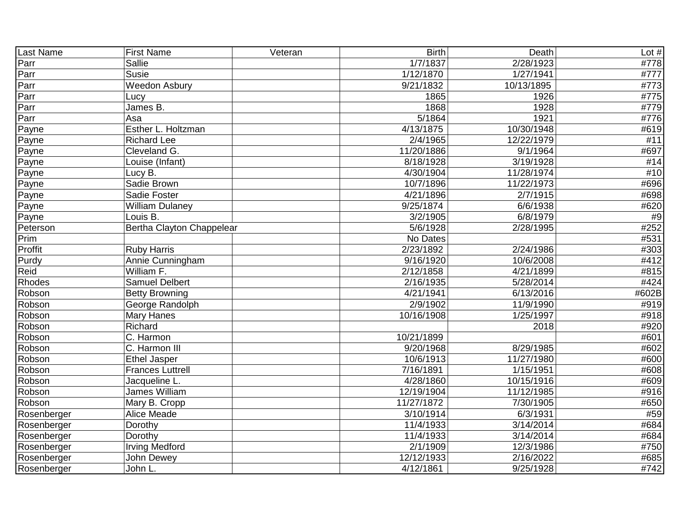| Last Name   | <b>First Name</b>         | Veteran | <b>Birth</b>           | Death      | Lot $#$ |
|-------------|---------------------------|---------|------------------------|------------|---------|
| Parr        | <b>Sallie</b>             |         | 1/7/1837               | 2/28/1923  | #778    |
| Parr        | <b>Susie</b>              |         | 1/12/1870              | 1/27/1941  | #777    |
| Parr        | <b>Weedon Asbury</b>      |         | 9/21/1832              | 10/13/1895 | #773    |
| Parr        | Lucy                      |         | 1865                   | 1926       | #775    |
| Parr        | James B.                  |         | 1868                   | 1928       | #779    |
| Parr        | Asa                       |         | 5/1864                 | 1921       | #776    |
| Payne       | Esther L. Holtzman        |         | 4/13/1875              | 10/30/1948 | #619    |
| Payne       | <b>Richard Lee</b>        |         | 2/4/1965               | 12/22/1979 | #11     |
| Payne       | Cleveland G.              |         | 11/20/1886             | 9/1/1964   | #697    |
| Payne       | Louise (Infant)           |         | 8/18/1928              | 3/19/1928  | #14     |
| Payne       | Lucy B.                   |         | 4/30/1904              | 11/28/1974 | #10     |
| Payne       | Sadie Brown               |         | 10/7/1896              | 11/22/1973 | #696    |
| Payne       | Sadie Foster              |         | 4/21/1896              | 2/7/1915   | #698    |
| Payne       | <b>William Dulaney</b>    |         | 9/25/1874              | 6/6/1938   | #620    |
| Payne       | Louis B.                  |         | 3/2/1905               | 6/8/1979   | #9      |
| Peterson    | Bertha Clayton Chappelear |         | 5/6/1928               | 2/28/1995  | #252    |
| Prim        |                           |         | No Dates               |            | #531    |
| Proffit     | <b>Ruby Harris</b>        |         | 2/23/1892              | 2/24/1986  | #303    |
| Purdy       | Annie Cunningham          |         | 9/16/1920              | 10/6/2008  | #412    |
| Reid        | William F.                |         | 2/12/1858              | 4/21/1899  | #815    |
| Rhodes      | <b>Samuel Delbert</b>     |         | $\overline{2}/16/1935$ | 5/28/2014  | #424    |
| Robson      | <b>Betty Browning</b>     |         | 4/21/1941              | 6/13/2016  | #602B   |
| Robson      | George Randolph           |         | 2/9/1902               | 11/9/1990  | #919    |
| Robson      | Mary Hanes                |         | 10/16/1908             | 1/25/1997  | #918    |
| Robson      | Richard                   |         |                        | 2018       | #920    |
| Robson      | C. Harmon                 |         | 10/21/1899             |            | #601    |
| Robson      | C. Harmon III             |         | 9/20/1968              | 8/29/1985  | #602    |
| Robson      | Ethel Jasper              |         | 10/6/1913              | 11/27/1980 | #600    |
| Robson      | <b>Frances Luttrell</b>   |         | 7/16/1891              | 1/15/1951  | #608    |
| Robson      | Jacqueline L.             |         | 4/28/1860              | 10/15/1916 | #609    |
| Robson      | James William             |         | 12/19/1904             | 11/12/1985 | #916    |
| Robson      | Mary B. Cropp             |         | 11/27/1872             | 7/30/1905  | #650    |
| Rosenberger | Alice Meade               |         | 3/10/1914              | 6/3/1931   | #59     |
| Rosenberger | Dorothy                   |         | 11/4/1933              | 3/14/2014  | #684    |
| Rosenberger | Dorothy                   |         | 11/4/1933              | 3/14/2014  | #684    |
| Rosenberger | <b>Irving Medford</b>     |         | 2/1/1909               | 12/3/1986  | #750    |
| Rosenberger | John Dewey                |         | 12/12/1933             | 2/16/2022  | #685    |
| Rosenberger | John L.                   |         | 4/12/1861              | 9/25/1928  | #742    |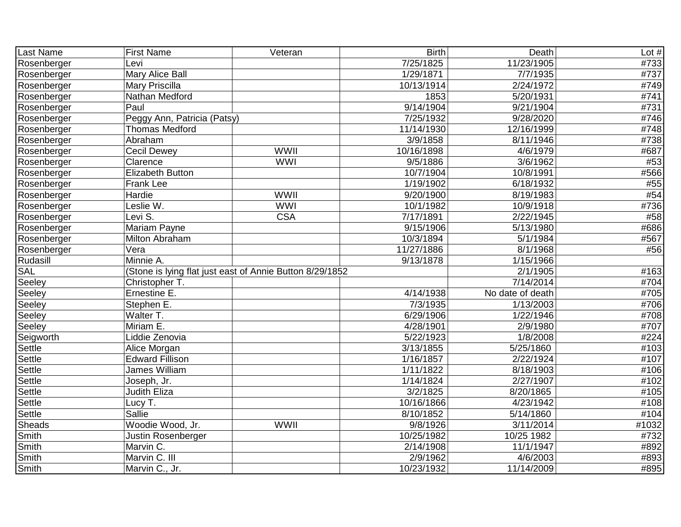| <b>Last Name</b> | <b>First Name</b>           | Veteran                                                  | <b>Birth</b> | Death            | Lot $#$           |
|------------------|-----------------------------|----------------------------------------------------------|--------------|------------------|-------------------|
| Rosenberger      | Levi                        |                                                          | 7/25/1825    | 11/23/1905       | #733              |
| Rosenberger      | Mary Alice Ball             |                                                          | 1/29/1871    | 7/7/1935         | #737              |
| Rosenberger      | Mary Priscilla              |                                                          | 10/13/1914   | 2/24/1972        | #749              |
| Rosenberger      | Nathan Medford              |                                                          | 1853         | 5/20/1931        | #741              |
| Rosenberger      | Paul                        |                                                          | 9/14/1904    | 9/21/1904        | #731              |
| Rosenberger      | Peggy Ann, Patricia (Patsy) |                                                          | 7/25/1932    | 9/28/2020        | #746              |
| Rosenberger      | <b>Thomas Medford</b>       |                                                          | 11/14/1930   | 12/16/1999       | $\overline{4748}$ |
| Rosenberger      | Abraham                     |                                                          | 3/9/1858     | 8/11/1946        | #738              |
| Rosenberger      | Cecil Dewey                 | WWII                                                     | 10/16/1898   | 4/6/1979         | #687              |
| Rosenberger      | Clarence                    | <b>WWI</b>                                               | 9/5/1886     | 3/6/1962         | #53               |
| Rosenberger      | <b>Elizabeth Button</b>     |                                                          | 10/7/1904    | 10/8/1991        | #566              |
| Rosenberger      | Frank Lee                   |                                                          | 1/19/1902    | 6/18/1932        | #55               |
| Rosenberger      | Hardie                      | WWII                                                     | 9/20/1900    | 8/19/1983        | #54               |
| Rosenberger      | Leslie W.                   | <b>WWI</b>                                               | 10/1/1982    | 10/9/1918        | #736              |
| Rosenberger      | Levi S.                     | <b>CSA</b>                                               | 7/17/1891    | 2/22/1945        | #58               |
| Rosenberger      | Mariam Payne                |                                                          | 9/15/1906    | 5/13/1980        | #686              |
| Rosenberger      | Milton Abraham              |                                                          | 10/3/1894    | 5/1/1984         | #567              |
| Rosenberger      | Vera                        |                                                          | 11/27/1886   | 8/1/1968         | #56               |
| Rudasill         | Minnie A.                   |                                                          | 9/13/1878    | 1/15/1966        |                   |
| <b>SAL</b>       |                             | (Stone is lying flat just east of Annie Button 8/29/1852 |              | 2/1/1905         | #163              |
| Seeley           | Christopher T.              |                                                          |              | 7/14/2014        | #704              |
| Seeley           | Ernestine E.                |                                                          | 4/14/1938    | No date of death | #705              |
| Seeley           | Stephen E.                  |                                                          | 7/3/1935     | 1/13/2003        | #706              |
| Seeley           | Walter T.                   |                                                          | 6/29/1906    | 1/22/1946        | #708              |
| Seeley           | Miriam E.                   |                                                          | 4/28/1901    | 2/9/1980         | #707              |
| Seigworth        | Liddie Zenovia              |                                                          | 5/22/1923    | 1/8/2008         | #224              |
| Settle           | Alice Morgan                |                                                          | 3/13/1855    | 5/25/1860        | #103              |
| Settle           | <b>Edward Fillison</b>      |                                                          | 1/16/1857    | 2/22/1924        | #107              |
| Settle           | James William               |                                                          | 1/11/1822    | 8/18/1903        | #106              |
| Settle           | Joseph, Jr.                 |                                                          | 1/14/1824    | 2/27/1907        | #102              |
| Settle           | <b>Judith Eliza</b>         |                                                          | 3/2/1825     | 8/20/1865        | #105              |
| Settle           | Lucy T.                     |                                                          | 10/16/1866   | 4/23/1942        | #108              |
| Settle           | Sallie                      |                                                          | 8/10/1852    | 5/14/1860        | #104              |
| <b>Sheads</b>    | Woodie Wood, Jr.            | WWII                                                     | 9/8/1926     | 3/11/2014        | #1032             |
| Smith            | Justin Rosenberger          |                                                          | 10/25/1982   | 10/25 1982       | #732              |
| Smith            | Marvin C.                   |                                                          | 2/14/1908    | 11/1/1947        | #892              |
| Smith            | Marvin C. III               |                                                          | 2/9/1962     | 4/6/2003         | #893              |
| Smith            | Marvin C., Jr.              |                                                          | 10/23/1932   | 11/14/2009       | #895              |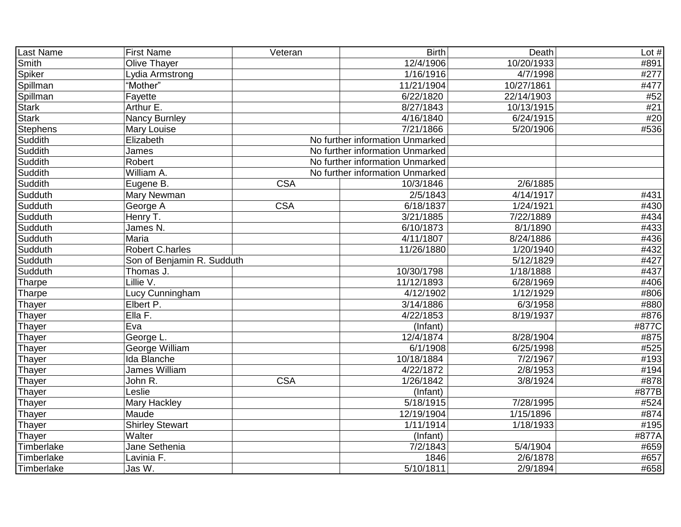| Last Name       | <b>First Name</b>          | Veteran    | <b>Birth</b>                    | Death                    | Lot $#$ |
|-----------------|----------------------------|------------|---------------------------------|--------------------------|---------|
| Smith           | Olive Thayer               |            | 12/4/1906                       | 10/20/1933               | #891    |
| Spiker          | Lydia Armstrong            |            | 1/16/1916                       | 4/7/1998                 | #277    |
| Spillman        | "Mother"                   |            | 11/21/1904                      | 10/27/1861               | #477    |
| Spillman        | Fayette                    |            | 6/22/1820                       | $\overline{22/1}$ 4/1903 | #52     |
| <b>Stark</b>    | Arthur E.                  |            | $\frac{8}{27/1843}$             | 10/13/1915               | #21     |
| <b>Stark</b>    | <b>Nancy Burnley</b>       |            | 4/16/1840                       | 6/24/1915                | #20     |
| <b>Stephens</b> | Mary Louise                |            | 7/21/1866                       | 5/20/1906                | #536    |
| Suddith         | Elizabeth                  |            | No further information Unmarked |                          |         |
| Suddith         | James                      |            | No further information Unmarked |                          |         |
| Suddith         | Robert                     |            | No further information Unmarked |                          |         |
| Suddith         | William A.                 |            | No further information Unmarked |                          |         |
| Suddith         | Eugene B.                  | <b>CSA</b> | 10/3/1846                       | 2/6/1885                 |         |
| Sudduth         | Mary Newman                |            | 2/5/1843                        | 4/14/1917                | #431    |
| Sudduth         | George A                   | <b>CSA</b> | 6/18/1837                       | 1/24/1921                | #430    |
| Sudduth         | Henry T.                   |            | 3/21/1885                       | 7/22/1889                | #434    |
| Sudduth         | James N.                   |            | 6/10/1873                       | 8/1/1890                 | #433    |
| Sudduth         | Maria                      |            | 4/11/1807                       | 8/24/1886                | #436    |
| Sudduth         | <b>Robert C.harles</b>     |            | 11/26/1880                      | 1/20/1940                | #432    |
| Sudduth         | Son of Benjamin R. Sudduth |            |                                 | 5/12/1829                | #427    |
| Sudduth         | Thomas J.                  |            | 10/30/1798                      | 1/18/1888                | #437    |
| Tharpe          | Lillie V.                  |            | 11/12/1893                      | 6/28/1969                | #406    |
| Tharpe          | <b>Lucy Cunningham</b>     |            | 4/12/1902                       | 1/12/1929                | #806    |
| Thayer          | Elbert P.                  |            | 3/14/1886                       | 6/3/1958                 | #880    |
| Thayer          | EIIa F.                    |            | $\frac{4}{22}$ 1853             | 8/19/1937                | #876    |
| Thayer          | Eva                        |            | (Infant)                        |                          | #877C   |
| Thayer          | George L.                  |            | 12/4/1874                       | 8/28/1904                | #875    |
| Thayer          | George William             |            | 6/1/1908                        | 6/25/1998                | #525    |
| Thayer          | Ida Blanche                |            | 10/18/1884                      | 7/2/1967                 | #193    |
| Thayer          | James William              |            | 4/22/1872                       | 2/8/1953                 | #194    |
| Thayer          | John R.                    | <b>CSA</b> | 1/26/1842                       | 3/8/1924                 | #878    |
| Thayer          | Leslie                     |            | (Infant)                        |                          | #877B   |
| Thayer          | Mary Hackley               |            | 5/18/1915                       | 7/28/1995                | #524    |
| Thayer          | Maude                      |            | 12/19/1904                      | 1/15/1896                | #874    |
| Thayer          | <b>Shirley Stewart</b>     |            | 1/11/1914                       | 1/18/1933                | #195    |
| Thayer          | Walter                     |            | (Infant)                        |                          | #877A   |
| Timberlake      | Jane Sethenia              |            | 7/2/1843                        | 5/4/1904                 | #659    |
| Timberlake      | Lavinia F.                 |            | 1846                            | 2/6/1878                 | #657    |
| Timberlake      | Jas W.                     |            | 5/10/1811                       | 2/9/1894                 | #658    |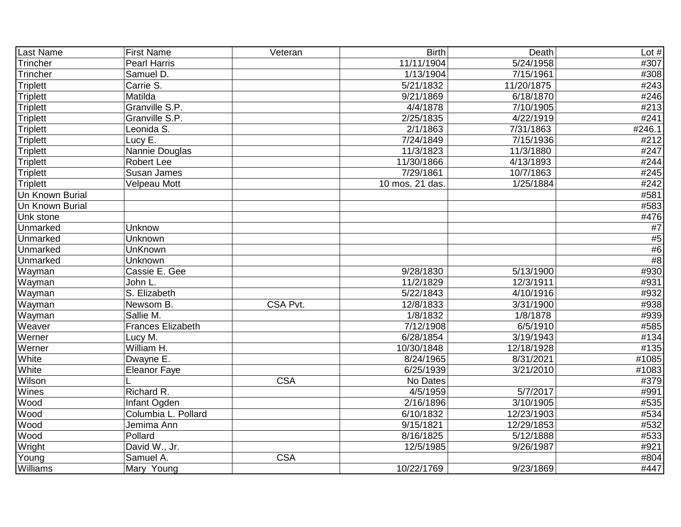| Last Name       | <b>First Name</b>        | Veteran    | <b>Birth</b>           | Death                  | Lot $#$ |
|-----------------|--------------------------|------------|------------------------|------------------------|---------|
| <b>Trincher</b> | <b>Pearl Harris</b>      |            | 11/11/1904             | 5/24/1958              | #307    |
| <b>Trincher</b> | Samuel D.                |            | 1/13/1904              | 7/15/1961              | #308    |
| <b>Triplett</b> | Carrie S.                |            | $\overline{5/21}/1832$ | 11/20/1875             | #243    |
| <b>Triplett</b> | Matilda                  |            | 9/21/1869              | 6/18/1870              | #246    |
| Triplett        | Granville S.P.           |            | 4/4/1878               | 7/10/1905              | #213    |
| <b>Triplett</b> | Granville S.P.           |            | 2/25/1835              | 4/22/1919              | #241    |
| <b>Triplett</b> | Leonida S.               |            | 2/1/1863               | $\overline{7/31/1863}$ | #246.1  |
| <b>Triplett</b> | Lucy E.                  |            | 7/24/1849              | 7/15/1936              | #212    |
| <b>Triplett</b> | Nannie Douglas           |            | 11/3/1823              | 11/3/1880              | #247    |
| <b>Triplett</b> | <b>Robert Lee</b>        |            | 11/30/1866             | 4/13/1893              | #244    |
| <b>Triplett</b> | Susan James              |            | 7/29/1861              | 10/7/1863              | #245    |
| <b>Triplett</b> | <b>Velpeau Mott</b>      |            | 10 mos. 21 das.        | 1/25/1884              | #242    |
| Un Known Burial |                          |            |                        |                        | #581    |
| Un Known Burial |                          |            |                        |                        | #583    |
| Unk stone       |                          |            |                        |                        | #476    |
| Unmarked        | Unknow                   |            |                        |                        | $\#7$   |
| Unmarked        | Unknown                  |            |                        |                        | #5      |
| Unmarked        | <b>UnKnown</b>           |            |                        |                        | #6      |
| Unmarked        | Unknown                  |            |                        |                        | #8      |
| Wayman          | Cassie E. Gee            |            | 9/28/1830              | 5/13/1900              | #930    |
| Wayman          | John L.                  |            | 11/2/1829              | 12/3/1911              | #931    |
| Wayman          | S. Elizabeth             |            | 5/22/1843              | 4/10/1916              | #932    |
| Wayman          | Newsom B.                | CSA Pvt.   | 12/8/1833              | 3/31/1900              | #938    |
| Wayman          | Sallie M.                |            | 1/8/1832               | 1/8/1878               | #939    |
| Weaver          | <b>Frances Elizabeth</b> |            | 7/12/1908              | 6/5/1910               | #585    |
| Werner          | Lucy M.                  |            | 6/28/1854              | 3/19/1943              | #134    |
| Werner          | William H.               |            | 10/30/1848             | 12/18/1928             | #135    |
| White           | Dwayne E.                |            | 8/24/1965              | 8/31/2021              | #1085   |
| White           | <b>Eleanor Faye</b>      |            | 6/25/1939              | 3/21/2010              | #1083   |
| Wilson          |                          | <b>CSA</b> | No Dates               |                        | #379    |
| Wines           | Richard R.               |            | 4/5/1959               | 5/7/2017               | #991    |
| Wood            | Infant Ogden             |            | 2/16/1896              | 3/10/1905              | #535    |
| Wood            | Columbia L. Pollard      |            | 6/10/1832              | 12/23/1903             | #534    |
| Wood            | Jemima Ann               |            | 9/15/1821              | 12/29/1853             | #532    |
| Wood            | Pollard                  |            | 8/16/1825              | 5/12/1888              | #533    |
| Wright          | David W., Jr.            |            | 12/5/1985              | 9/26/1987              | #921    |
| Young           | Samuel A.                | <b>CSA</b> |                        |                        | #804    |
| Williams        | Mary Young               |            | 10/22/1769             | 9/23/1869              | #447    |